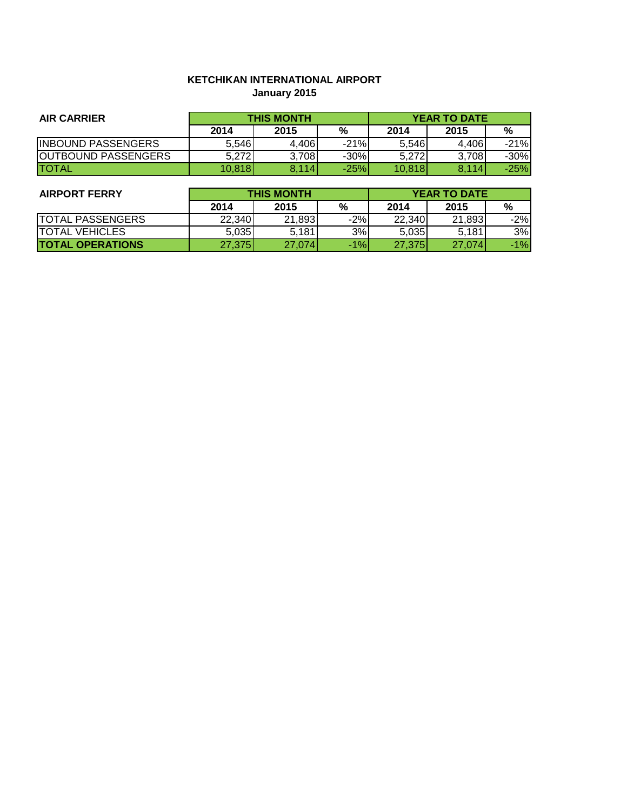# **KETCHIKAN INTERNATIONAL AIRPORT January 2015**

| <b>AIR CARRIER</b>         | <b>THIS MONTH</b> |       |        | <b>YEAR TO DATE</b> |       |        |
|----------------------------|-------------------|-------|--------|---------------------|-------|--------|
|                            | 2014              | 2015  | %      | 2014                | 2015  | %      |
| <b>INBOUND PASSENGERS</b>  | 5,546             | 4.406 | $-21%$ | 5,546               | 4.406 | $-21%$ |
| <b>OUTBOUND PASSENGERS</b> | 5,272             | 3,708 | $-30%$ | 5,272               | 3,708 | $-30%$ |
| <b>ITOTAL</b>              | 10,818            | 8.114 | $-25%$ | 10,818              | 8.114 | $-25%$ |

| <b>AIRPORT FERRY</b>     | <b>THIS MONTH</b> |        |       | <b>YEAR TO DATE</b> |        |       |
|--------------------------|-------------------|--------|-------|---------------------|--------|-------|
|                          | 2014              | 2015   | %     | 2014                | 2015   | %     |
| <b>TOTAL PASSENGERS</b>  | 22.340            | 21,893 | $-2%$ | 22,340              | 21,893 | $-2%$ |
| <b>TOTAL VEHICLES</b>    | 5.035             | 5,181  | 3%    | 5,035               | 5.181  | 3%    |
| <b>ITOTAL OPERATIONS</b> | 27,375            | 27.074 | $-1%$ | 27,375              | 27.074 | $-1%$ |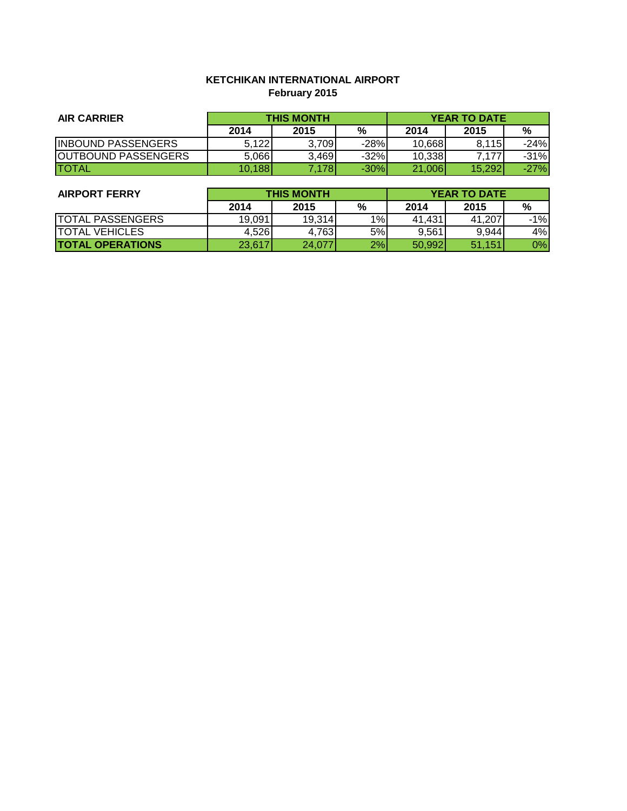# **KETCHIKAN INTERNATIONAL AIRPORT February 2015**

| <b>AIR CARRIER</b>         | <b>THIS MONTH</b> |       |        | <b>YEAR TO DATE</b> |        |        |
|----------------------------|-------------------|-------|--------|---------------------|--------|--------|
|                            | 2014              | 2015  | %      | 2014                | 2015   | %      |
| <b>INBOUND PASSENGERS</b>  | 5.122             | 3.709 | $-28%$ | 10.668              | 8.115  | $-24%$ |
| <b>OUTBOUND PASSENGERS</b> | 5.066             | 3,469 | $-32%$ | 10.338              | 7.177  | $-31%$ |
| <b>ITOTAL</b>              | 10.188            | .178  | $-30%$ | 21,006              | 15,292 | $-27%$ |

| <b>AIRPORT FERRY</b>    | <b>THIS MONTH</b> |        |               | <b>YEAR TO DATE</b> |        |       |
|-------------------------|-------------------|--------|---------------|---------------------|--------|-------|
|                         | 2014              | 2015   | $\frac{9}{6}$ | 2014                | 2015   | %     |
| <b>TOTAL PASSENGERS</b> | 19,091            | 19.314 | 1%            | 41.431              | 41.207 | $-1%$ |
| <b>TOTAL VEHICLES</b>   | 4.526             | 4.763  | 5%            | 9,561               | 9,944  | 4%    |
| <b>TOTAL OPERATIONS</b> | 23,617            | 24,077 | 2%            | 50.992              | 51.151 | 0%    |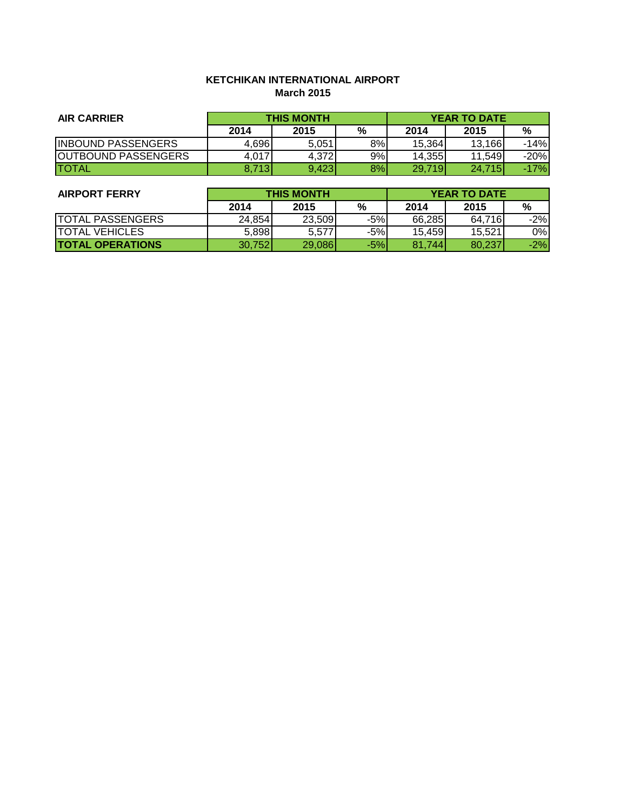# **KETCHIKAN INTERNATIONAL AIRPORT March 2015**

| <b>AIR CARRIER</b>         | <b>THIS MONTH</b> |       |    | <b>YEAR TO DATE</b> |         |        |
|----------------------------|-------------------|-------|----|---------------------|---------|--------|
|                            | 2014              | 2015  | %  | 2014                | 2015    | %      |
| <b>INBOUND PASSENGERS</b>  | 4.696             | 5,051 | 8% | 15,364              | 13.166  | $-14%$ |
| <b>OUTBOUND PASSENGERS</b> | 4,017             | 4.372 | 9% | 14.3551             | 11,5491 | $-20%$ |
| ITOTAL                     | 8.713             | 9.423 | 8% | 29,719              | 24,715  | -17%   |

| <b>AIRPORT FERRY</b>    | <b>THIS MONTH</b> |        |       | <b>YEAR TO DATE</b> |        |       |
|-------------------------|-------------------|--------|-------|---------------------|--------|-------|
|                         | 2014              | 2015   | %     | 2014                | 2015   | %     |
| <b>TOTAL PASSENGERS</b> | 24,854            | 23,509 | $-5%$ | 66.285              | 64,716 | $-2%$ |
| <b>ITOTAL VEHICLES</b>  | 5,898             | 5.577  | $-5%$ | 15.459              | 15.521 | 0%    |
| <b>TOTAL OPERATIONS</b> | 30,752            | 29.086 | $-5%$ | 81.744              | 80,237 | $-2%$ |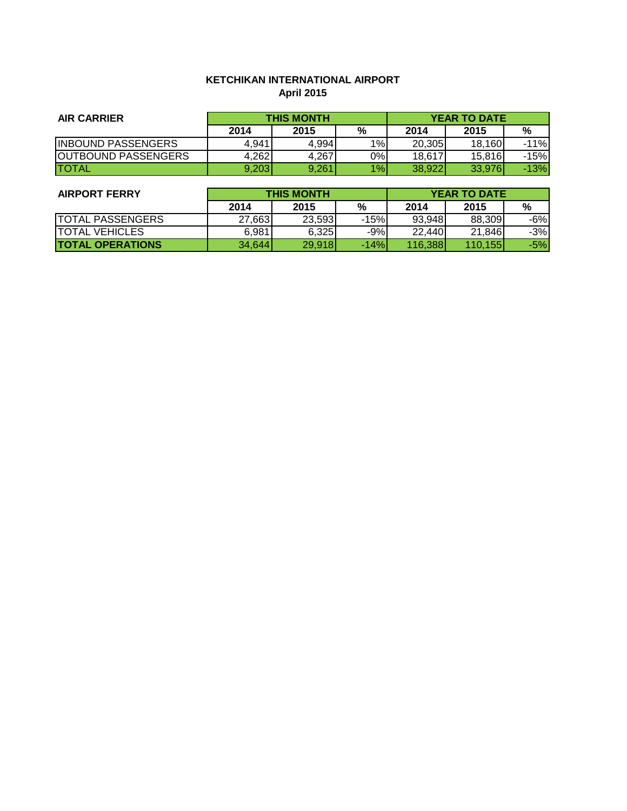# **KETCHIKAN INTERNATIONAL AIRPORT April 2015**

| <b>AIR CARRIER</b>         | <b>THIS MONTH</b> |       |    | <b>YEAR TO DATE</b> |        |        |
|----------------------------|-------------------|-------|----|---------------------|--------|--------|
|                            | 2014              | 2015  | %  | 2014                | 2015   | %      |
| <b>INBOUND PASSENGERS</b>  | 4,941             | 4,994 | 1% | 20,305              | 18.160 | $-11%$ |
| <b>OUTBOUND PASSENGERS</b> | 4.262             | 4,267 | 0% | 18.617              | 15,816 | -15%   |
| <b>ITOTAL</b>              | 9,203             | 9,261 | 1% | 38.922              | 33,976 | $-13%$ |

| <b>AIRPORT FERRY</b>    | <b>THIS MONTH</b> |        |        | <b>YEAR TO DATE</b> |                  |       |
|-------------------------|-------------------|--------|--------|---------------------|------------------|-------|
|                         | 2014              | 2015   | %      | 2014                | 2015             | %     |
| <b>TOTAL PASSENGERS</b> | 27,663            | 23,593 | $-15%$ | 93.948              | 88,309           | $-6%$ |
| <b>TOTAL VEHICLES</b>   | 6,981             | 6.325  | $-9%$  | 22.440              | 21,846           | $-3%$ |
| <b>TOTAL OPERATIONS</b> | 34,644            | 29,918 | $-14%$ | 116,388             | 110.155 <b>1</b> | $-5%$ |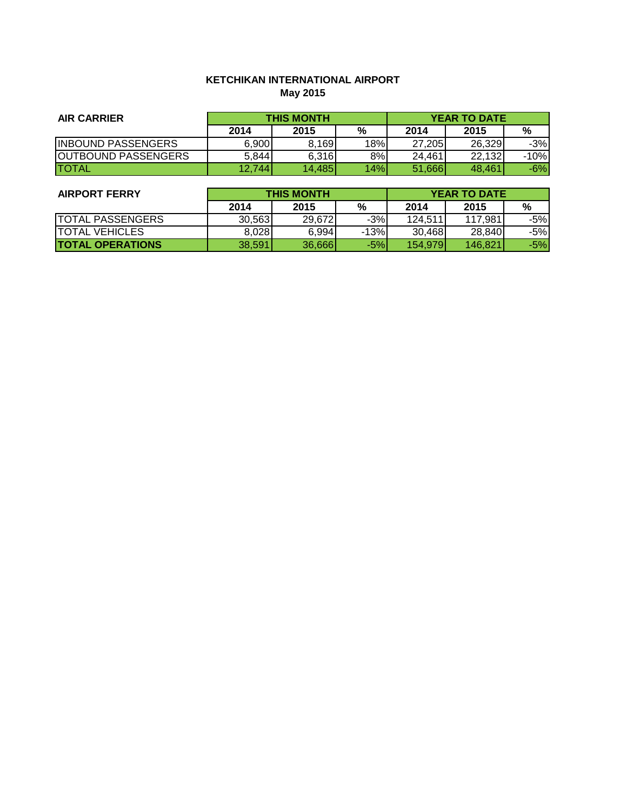# **KETCHIKAN INTERNATIONAL AIRPORT May 2015**

| <b>AIR CARRIER</b>         | <b>THIS MONTH</b> |        |     | <b>YEAR TO DATE</b> |        |       |
|----------------------------|-------------------|--------|-----|---------------------|--------|-------|
|                            | 2014              | 2015   | %   | 2014                | 2015   | %     |
| <b>INBOUND PASSENGERS</b>  | 6,900             | 8,169  | 18% | 27.205              | 26.329 | $-3%$ |
| <b>OUTBOUND PASSENGERS</b> | 5,844             | 6,316  | 8%  | 24.461              | 22,132 | -10%  |
| <b>ITOTAL</b>              | 12.744            | 14.485 | 14% | 51.666              | 48.461 | $-6%$ |

| <b>AIRPORT FERRY</b>    | <b>THIS MONTH</b> |        |        | <b>YEAR TO DATE</b> |         |       |
|-------------------------|-------------------|--------|--------|---------------------|---------|-------|
|                         | 2014              | 2015   | %      | 2014                | 2015    | %     |
| <b>TOTAL PASSENGERS</b> | 30,563            | 29,672 | $-3%$  | 124,511             | 117.981 | $-5%$ |
| <b>TOTAL VEHICLES</b>   | 8.028             | 6.994  | $-13%$ | 30.468              | 28,840  | $-5%$ |
| <b>TOTAL OPERATIONS</b> | 38,591            | 36,666 | $-5%$  | 154,979             | 146.821 | $-5%$ |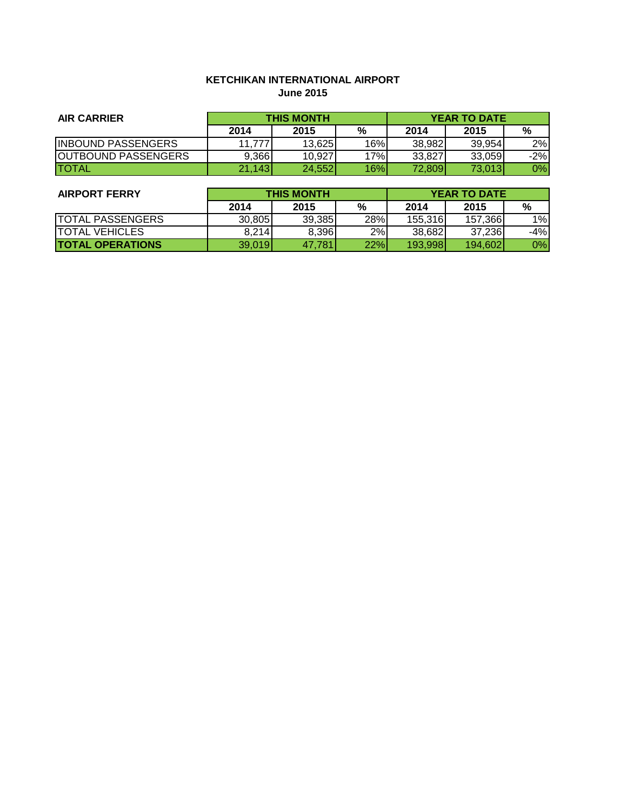# **KETCHIKAN INTERNATIONAL AIRPORT June 2015**

| <b>AIR CARRIER</b>         | <b>THIS MONTH</b> |        |     | <b>YEAR TO DATE</b> |        |        |
|----------------------------|-------------------|--------|-----|---------------------|--------|--------|
|                            | 2014              | 2015   | %   | 2014                | 2015   | %      |
| <b>INBOUND PASSENGERS</b>  | 11.777            | 13,625 | 16% | 38.982              | 39.954 | 2%     |
| <b>OUTBOUND PASSENGERS</b> | 9.366             | 10.927 | 17% | 33.827              | 33.059 | $-2\%$ |
| <b>ITOTAL</b>              | 21.143            | 24,552 | 16% | 72.809              | 73,013 | $0\%$  |

| <b>AIRPORT FERRY</b>    | <b>THIS MONTH</b> |        |     | <b>YEAR TO DATE</b> |         |       |
|-------------------------|-------------------|--------|-----|---------------------|---------|-------|
|                         | 2014              | 2015   | %   | 2014                | 2015    | %     |
| <b>TOTAL PASSENGERS</b> | 30,805            | 39,385 | 28% | 155,316             | 157,366 | 1%    |
| <b>ITOTAL VEHICLES</b>  | 8,214             | 8,396  | 2%  | 38,682              | 37,236  | $-4%$ |
| <b>TOTAL OPERATIONS</b> | 39,019            | 47.781 | 22% | 193.998             | 194.602 | 0%    |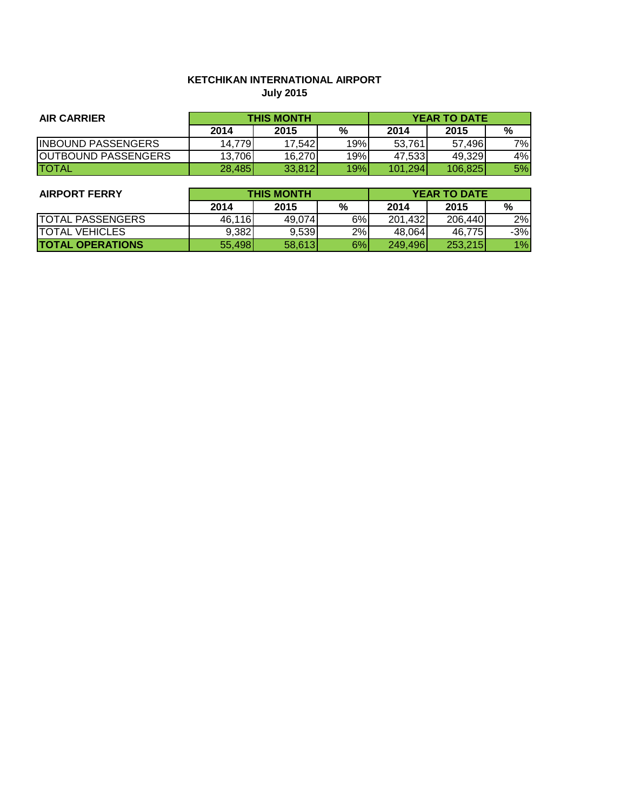# **KETCHIKAN INTERNATIONAL AIRPORT July 2015**

| <b>AIR CARRIER</b>         | <b>THIS MONTH</b> |         |     | <b>YEAR TO DATE</b> |         |     |
|----------------------------|-------------------|---------|-----|---------------------|---------|-----|
|                            | 2014              | 2015    | %   | 2014                | 2015    | %   |
| <b>INBOUND PASSENGERS</b>  | 14.7791           | 17.5421 | 19% | 53.761              | 57.496  | 7%I |
| <b>OUTBOUND PASSENGERS</b> | 13,706            | 16,270  | 19% | 47.533              | 49.329  | 4%  |
| <b>ITOTAL</b>              | 28,485            | 33,812  | 19% | 101,294             | 106.825 | 5%  |

| <b>AIRPORT FERRY</b>    | <b>THIS MONTH</b> |        |    | <b>YEAR TO DATE</b> |         |       |
|-------------------------|-------------------|--------|----|---------------------|---------|-------|
|                         | 2014              | 2015   | %  | 2014                | 2015    | %     |
| <b>TOTAL PASSENGERS</b> | 46,116            | 49.074 | 6% | 201,432             | 206,440 | 2%    |
| <b>TOTAL VEHICLES</b>   | 9,382             | 9,539  | 2% | 48.064              | 46.775  | $-3%$ |
| <b>TOTAL OPERATIONS</b> | 55.498            | 58,613 | 6% | 249.4961            | 253,215 | 1%    |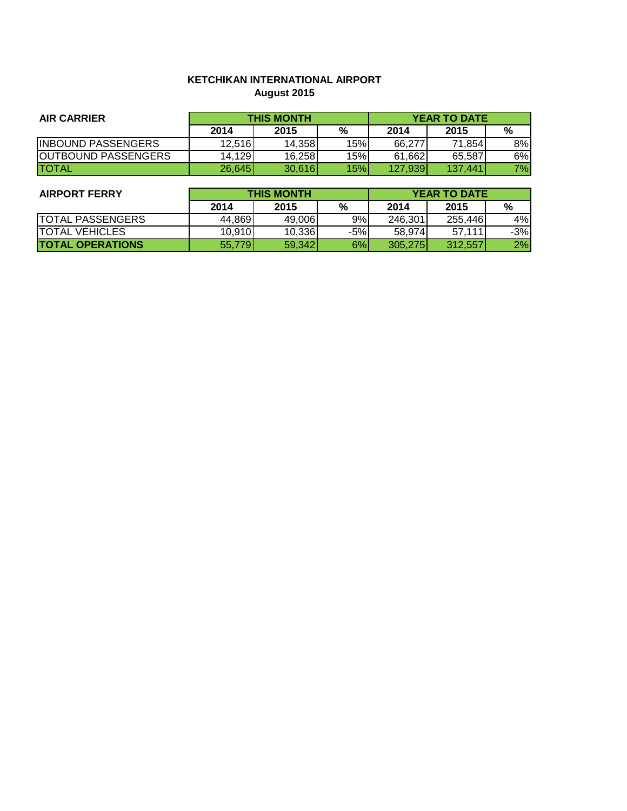# **KETCHIKAN INTERNATIONAL AIRPORT August 2015**

| <b>AIR CARRIER</b>         | <b>THIS MONTH</b> |        |     | <b>YEAR TO DATE</b> |         |    |
|----------------------------|-------------------|--------|-----|---------------------|---------|----|
|                            | 2014              | 2015   | %   | 2014                | 2015    | %  |
| <b>INBOUND PASSENGERS</b>  | 12,516            | 14.358 | 15% | 66.277              | 71.854  | 8% |
| <b>OUTBOUND PASSENGERS</b> | 14,129            | 16,258 | 15% | 61,662              | 65.587  | 6% |
| <b>ITOTAL</b>              | 26.645            | 30,616 | 15% | 127,939             | 137.441 | 7% |

| <b>AIRPORT FERRY</b>    | <b>THIS MONTH</b> |        |       | <b>YEAR TO DATE</b> |         |       |
|-------------------------|-------------------|--------|-------|---------------------|---------|-------|
|                         | 2014              | 2015   | %     | 2014                | 2015    | %     |
| <b>TOTAL PASSENGERS</b> | 44.869            | 49,006 | 9%    | 246,301             | 255.446 | 4%    |
| <b>TOTAL VEHICLES</b>   | 10,910            | 10,336 | $-5%$ | 58,974              | 57,111  | $-3%$ |
| <b>TOTAL OPERATIONS</b> | 55,779            | 59.342 | 6%    | 305.275             | 312.557 | 2%    |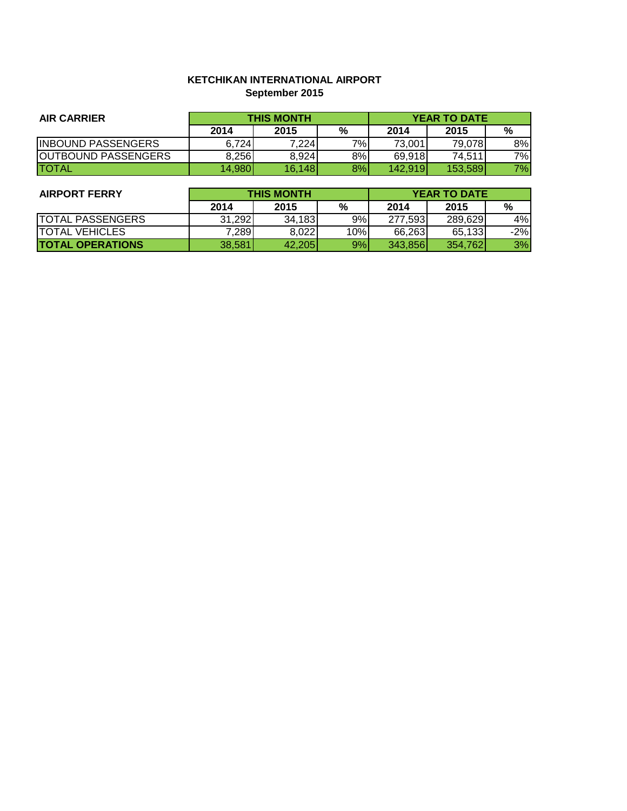# **KETCHIKAN INTERNATIONAL AIRPORT September 2015**

| <b>AIR CARRIER</b>         | <b>THIS MONTH</b> |        |    | <b>YEAR TO DATE</b> |         |     |
|----------------------------|-------------------|--------|----|---------------------|---------|-----|
|                            | 2014              | 2015   | %  | 2014                | 2015    | %   |
| <b>INBOUND PASSENGERS</b>  | 6.724             | 7,224  | 7% | 73,001              | 79.0781 | 8%  |
| <b>OUTBOUND PASSENGERS</b> | 8.256             | 8.924  | 8% | 69,918              | 74,511  | 7%I |
| <b>TOTAL</b>               | 14,980            | 16,148 | 8% | 142,919             | 153.589 | 7%  |

| <b>AIRPORT FERRY</b>    | <b>THIS MONTH</b> |        |     | <b>YEAR TO DATE</b> |          |       |
|-------------------------|-------------------|--------|-----|---------------------|----------|-------|
|                         | 2014              | 2015   | %   | 2014                | 2015     | %     |
| <b>TOTAL PASSENGERS</b> | 31.292            | 34.183 | 9%  | 277,593             | 289,629  | 4%    |
| <b>TOTAL VEHICLES</b>   | 7,289             | 8,022  | 10% | 66,263              | 65,133   | $-2%$ |
| <b>TOTAL OPERATIONS</b> | 38,581            | 42.205 | 9%  | 343.8561            | 354.7621 | 3%    |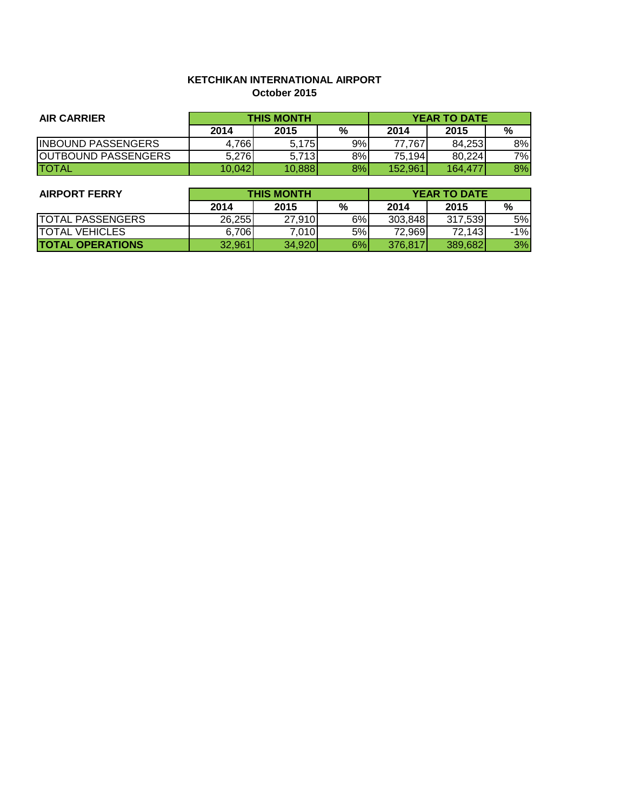## **KETCHIKAN INTERNATIONAL AIRPORT October 2015**

| <b>AIR CARRIER</b>         | <b>THIS MONTH</b> |        |    | <b>YEAR TO DATE</b> |         |    |
|----------------------------|-------------------|--------|----|---------------------|---------|----|
|                            | 2014              | 2015   | %  | 2014                | 2015    | %  |
| <b>INBOUND PASSENGERS</b>  | 4,766             | 5.175  | 9% | 77.767              | 84.253  | 8% |
| <b>OUTBOUND PASSENGERS</b> | 5,276             | 5.713  | 8% | 75,194              | 80,224  | 7% |
| <b>TOTAL</b>               | 10.042            | 10,888 | 8% | 152.961             | 164.477 | 8% |

| <b>AIRPORT FERRY</b>    | <b>THIS MONTH</b> |        |    | <b>YEAR TO DATE</b> |         |       |
|-------------------------|-------------------|--------|----|---------------------|---------|-------|
|                         | 2014              | 2015   | %  | 2014                | 2015    | %     |
| <b>TOTAL PASSENGERS</b> | 26,255            | 27.910 | 6% | 303,848             | 317.539 | 5%    |
| <b>ITOTAL VEHICLES</b>  | 6,706             | 7,010  | 5% | 72,969              | 72,143  | $-1%$ |
| <b>TOTAL OPERATIONS</b> | 32.961            | 34.920 | 6% | 376,817             | 389,682 | 3%    |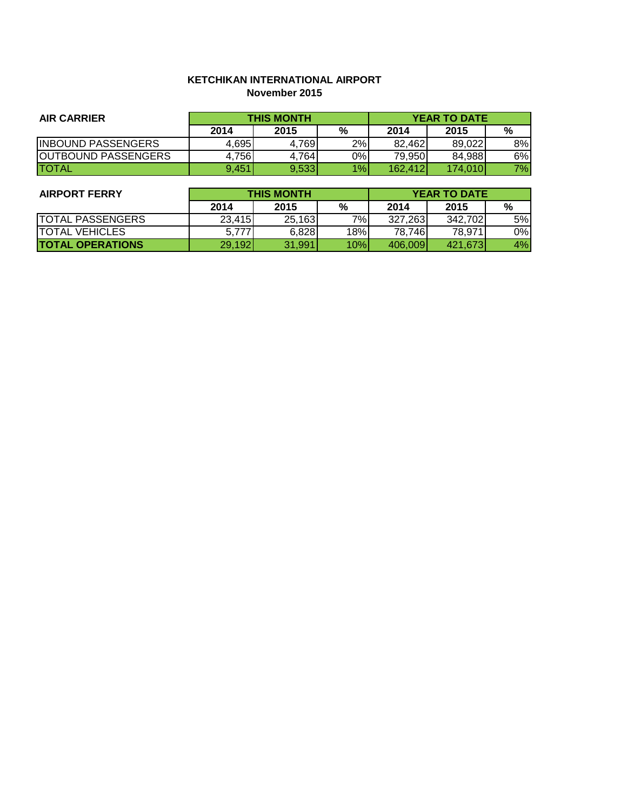#### **KETCHIKAN INTERNATIONAL AIRPORT November 2015**

| <b>AIR CARRIER</b>         | <b>THIS MONTH</b> |       |       | <b>YEAR TO DATE</b> |         |    |
|----------------------------|-------------------|-------|-------|---------------------|---------|----|
|                            | 2014              | 2015  | %     | 2014                | 2015    | %  |
| <b>INBOUND PASSENGERS</b>  | 4.695             | 4.769 | 2%    | 82.462              | 89.022  | 8% |
| <b>OUTBOUND PASSENGERS</b> | 4.756             | 4,764 | $0\%$ | 79.950              | 84,988  | 6% |
| <b>ITOTAL</b>              | 9.451             | 9.533 | $1\%$ | 162.412             | 174.010 | 7% |

| <b>AIRPORT FERRY</b>     | <b>THIS MONTH</b> |        |     | <b>YEAR TO DATE</b> |          |       |
|--------------------------|-------------------|--------|-----|---------------------|----------|-------|
|                          | 2014              | 2015   | %   | 2014                | 2015     | %     |
| <b>TOTAL PASSENGERS</b>  | 23.415            | 25,163 | 7%  | 327,263             | 342,702  | 5%    |
| <b>TOTAL VEHICLES</b>    | 5.777             | 6,828  | 18% | 78.746              | 78,971   | $0\%$ |
| <b>ITOTAL OPERATIONS</b> | 29,192            | 31,991 | 10% | 406,009             | 421.6731 | 4%    |